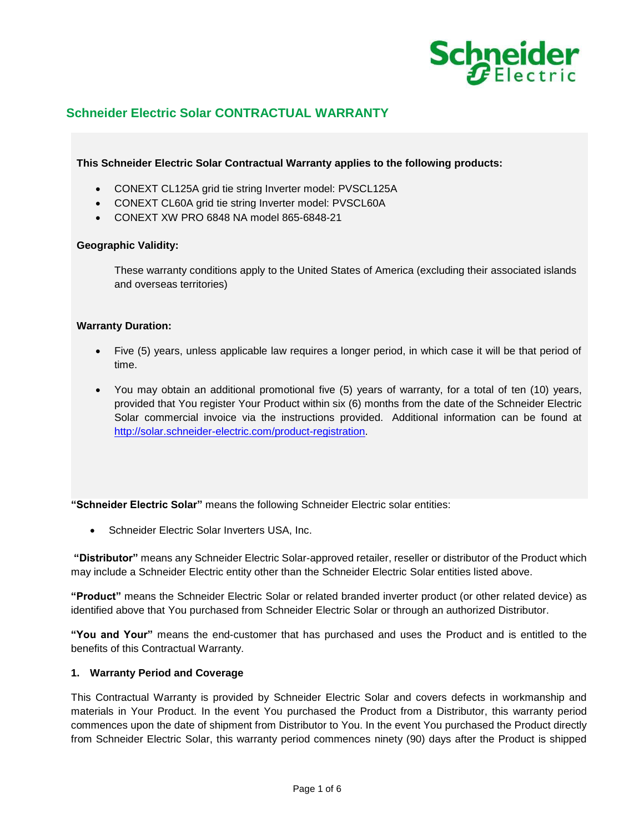

# **Schneider Electric Solar CONTRACTUAL WARRANTY**

**This Schneider Electric Solar Contractual Warranty applies to the following products:** 

- CONEXT CL125A grid tie string Inverter model: PVSCL125A
- CONEXT CL60A grid tie string Inverter model: PVSCL60A
- CONEXT XW PRO 6848 NA model 865-6848-21

# **Geographic Validity:**

These warranty conditions apply to the United States of America (excluding their associated islands and overseas territories)

# **Warranty Duration:**

- Five (5) years, unless applicable law requires a longer period, in which case it will be that period of time.
- You may obtain an additional promotional five (5) years of warranty, for a total of ten (10) years, provided that You register Your Product within six (6) months from the date of the Schneider Electric Solar commercial invoice via the instructions provided. Additional information can be found at [http://solar.schneider-electric.com/product-registration.](http://solar.schneider-electric.com/product-registration)

**"Schneider Electric Solar"** means the following Schneider Electric solar entities:

• Schneider Electric Solar Inverters USA, Inc.

**"Distributor"** means any Schneider Electric Solar-approved retailer, reseller or distributor of the Product which may include a Schneider Electric entity other than the Schneider Electric Solar entities listed above.

**"Product"** means the Schneider Electric Solar or related branded inverter product (or other related device) as identified above that You purchased from Schneider Electric Solar or through an authorized Distributor.

**"You and Your"** means the end-customer that has purchased and uses the Product and is entitled to the benefits of this Contractual Warranty.

# **1. Warranty Period and Coverage**

This Contractual Warranty is provided by Schneider Electric Solar and covers defects in workmanship and materials in Your Product. In the event You purchased the Product from a Distributor, this warranty period commences upon the date of shipment from Distributor to You. In the event You purchased the Product directly from Schneider Electric Solar, this warranty period commences ninety (90) days after the Product is shipped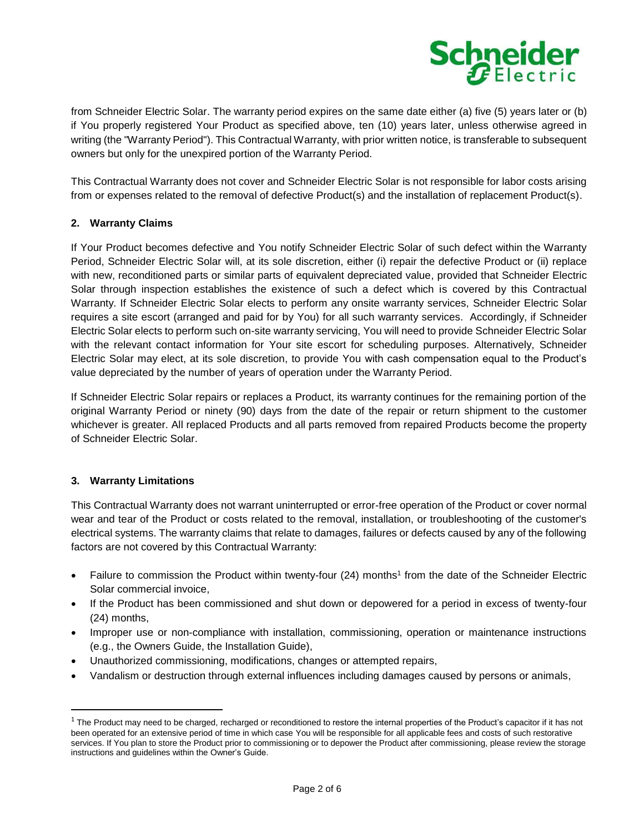

from Schneider Electric Solar. The warranty period expires on the same date either (a) five (5) years later or (b) if You properly registered Your Product as specified above, ten (10) years later, unless otherwise agreed in writing (the "Warranty Period"). This Contractual Warranty, with prior written notice, is transferable to subsequent owners but only for the unexpired portion of the Warranty Period.

This Contractual Warranty does not cover and Schneider Electric Solar is not responsible for labor costs arising from or expenses related to the removal of defective Product(s) and the installation of replacement Product(s).

# **2. Warranty Claims**

If Your Product becomes defective and You notify Schneider Electric Solar of such defect within the Warranty Period, Schneider Electric Solar will, at its sole discretion, either (i) repair the defective Product or (ii) replace with new, reconditioned parts or similar parts of equivalent depreciated value, provided that Schneider Electric Solar through inspection establishes the existence of such a defect which is covered by this Contractual Warranty. If Schneider Electric Solar elects to perform any onsite warranty services, Schneider Electric Solar requires a site escort (arranged and paid for by You) for all such warranty services. Accordingly, if Schneider Electric Solar elects to perform such on-site warranty servicing, You will need to provide Schneider Electric Solar with the relevant contact information for Your site escort for scheduling purposes. Alternatively, Schneider Electric Solar may elect, at its sole discretion, to provide You with cash compensation equal to the Product's value depreciated by the number of years of operation under the Warranty Period.

If Schneider Electric Solar repairs or replaces a Product, its warranty continues for the remaining portion of the original Warranty Period or ninety (90) days from the date of the repair or return shipment to the customer whichever is greater. All replaced Products and all parts removed from repaired Products become the property of Schneider Electric Solar.

# **3. Warranty Limitations**

 $\overline{a}$ 

This Contractual Warranty does not warrant uninterrupted or error-free operation of the Product or cover normal wear and tear of the Product or costs related to the removal, installation, or troubleshooting of the customer's electrical systems. The warranty claims that relate to damages, failures or defects caused by any of the following factors are not covered by this Contractual Warranty:

- Failure to commission the Product within twenty-four (24) months<sup>1</sup> from the date of the Schneider Electric Solar commercial invoice,
- If the Product has been commissioned and shut down or depowered for a period in excess of twenty-four (24) months,
- Improper use or non-compliance with installation, commissioning, operation or maintenance instructions (e.g., the Owners Guide, the Installation Guide),
- Unauthorized commissioning, modifications, changes or attempted repairs,
- Vandalism or destruction through external influences including damages caused by persons or animals,

 $1$  The Product may need to be charged, recharged or reconditioned to restore the internal properties of the Product's capacitor if it has not been operated for an extensive period of time in which case You will be responsible for all applicable fees and costs of such restorative services. If You plan to store the Product prior to commissioning or to depower the Product after commissioning, please review the storage instructions and guidelines within the Owner's Guide.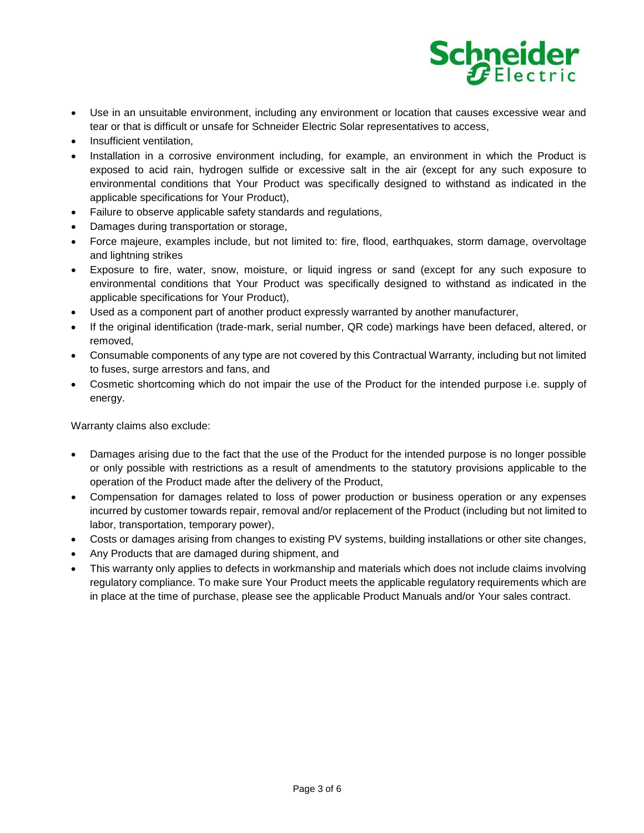

- Use in an unsuitable environment, including any environment or location that causes excessive wear and tear or that is difficult or unsafe for Schneider Electric Solar representatives to access,
- Insufficient ventilation,
- Installation in a corrosive environment including, for example, an environment in which the Product is exposed to acid rain, hydrogen sulfide or excessive salt in the air (except for any such exposure to environmental conditions that Your Product was specifically designed to withstand as indicated in the applicable specifications for Your Product),
- Failure to observe applicable safety standards and regulations,
- Damages during transportation or storage,
- Force majeure, examples include, but not limited to: fire, flood, earthquakes, storm damage, overvoltage and lightning strikes
- Exposure to fire, water, snow, moisture, or liquid ingress or sand (except for any such exposure to environmental conditions that Your Product was specifically designed to withstand as indicated in the applicable specifications for Your Product),
- Used as a component part of another product expressly warranted by another manufacturer,
- If the original identification (trade-mark, serial number, QR code) markings have been defaced, altered, or removed,
- Consumable components of any type are not covered by this Contractual Warranty, including but not limited to fuses, surge arrestors and fans, and
- Cosmetic shortcoming which do not impair the use of the Product for the intended purpose i.e. supply of energy.

Warranty claims also exclude:

- Damages arising due to the fact that the use of the Product for the intended purpose is no longer possible or only possible with restrictions as a result of amendments to the statutory provisions applicable to the operation of the Product made after the delivery of the Product,
- Compensation for damages related to loss of power production or business operation or any expenses incurred by customer towards repair, removal and/or replacement of the Product (including but not limited to labor, transportation, temporary power),
- Costs or damages arising from changes to existing PV systems, building installations or other site changes,
- Any Products that are damaged during shipment, and
- This warranty only applies to defects in workmanship and materials which does not include claims involving regulatory compliance. To make sure Your Product meets the applicable regulatory requirements which are in place at the time of purchase, please see the applicable Product Manuals and/or Your sales contract.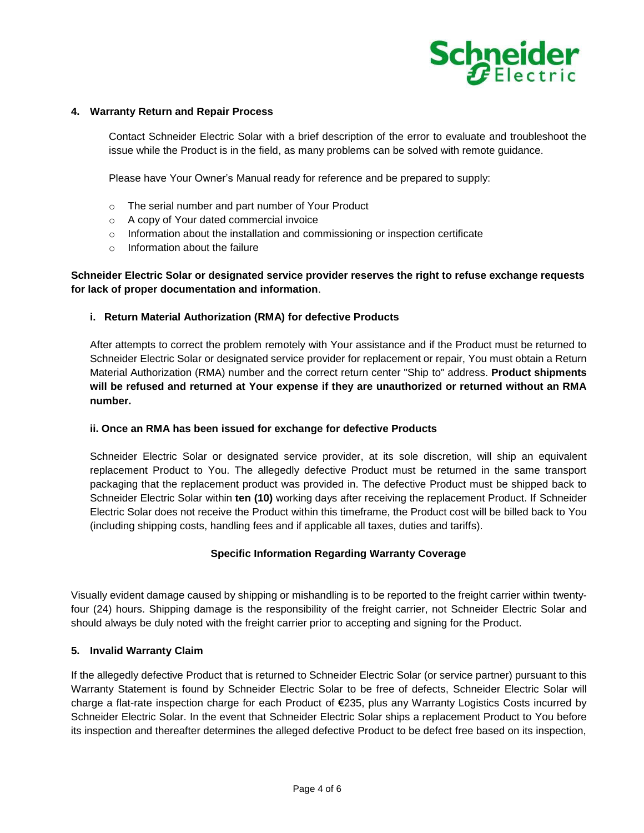

# **4. Warranty Return and Repair Process**

Contact Schneider Electric Solar with a brief description of the error to evaluate and troubleshoot the issue while the Product is in the field, as many problems can be solved with remote guidance.

Please have Your Owner's Manual ready for reference and be prepared to supply:

- o The serial number and part number of Your Product
- o A copy of Your dated commercial invoice
- $\circ$  Information about the installation and commissioning or inspection certificate
- $\circ$  Information about the failure

# **Schneider Electric Solar or designated service provider reserves the right to refuse exchange requests for lack of proper documentation and information**.

#### **i. Return Material Authorization (RMA) for defective Products**

After attempts to correct the problem remotely with Your assistance and if the Product must be returned to Schneider Electric Solar or designated service provider for replacement or repair, You must obtain a Return Material Authorization (RMA) number and the correct return center "Ship to" address. **Product shipments will be refused and returned at Your expense if they are unauthorized or returned without an RMA number.** 

# **ii. Once an RMA has been issued for exchange for defective Products**

Schneider Electric Solar or designated service provider, at its sole discretion, will ship an equivalent replacement Product to You. The allegedly defective Product must be returned in the same transport packaging that the replacement product was provided in. The defective Product must be shipped back to Schneider Electric Solar within **ten (10)** working days after receiving the replacement Product. If Schneider Electric Solar does not receive the Product within this timeframe, the Product cost will be billed back to You (including shipping costs, handling fees and if applicable all taxes, duties and tariffs).

# **Specific Information Regarding Warranty Coverage**

Visually evident damage caused by shipping or mishandling is to be reported to the freight carrier within twentyfour (24) hours. Shipping damage is the responsibility of the freight carrier, not Schneider Electric Solar and should always be duly noted with the freight carrier prior to accepting and signing for the Product.

# **5. Invalid Warranty Claim**

If the allegedly defective Product that is returned to Schneider Electric Solar (or service partner) pursuant to this Warranty Statement is found by Schneider Electric Solar to be free of defects, Schneider Electric Solar will charge a flat-rate inspection charge for each Product of €235, plus any Warranty Logistics Costs incurred by Schneider Electric Solar. In the event that Schneider Electric Solar ships a replacement Product to You before its inspection and thereafter determines the alleged defective Product to be defect free based on its inspection,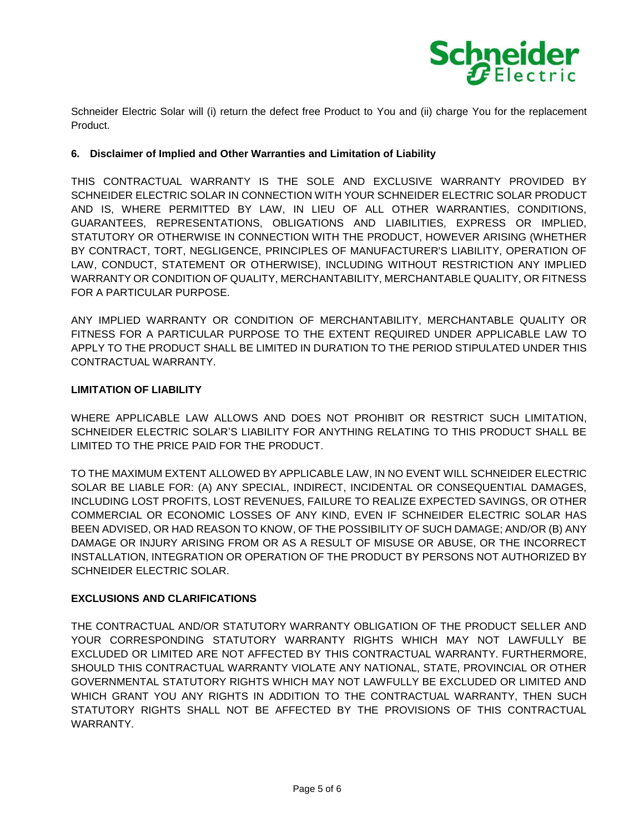

Schneider Electric Solar will (i) return the defect free Product to You and (ii) charge You for the replacement Product.

# **6. Disclaimer of Implied and Other Warranties and Limitation of Liability**

THIS CONTRACTUAL WARRANTY IS THE SOLE AND EXCLUSIVE WARRANTY PROVIDED BY SCHNEIDER ELECTRIC SOLAR IN CONNECTION WITH YOUR SCHNEIDER ELECTRIC SOLAR PRODUCT AND IS, WHERE PERMITTED BY LAW, IN LIEU OF ALL OTHER WARRANTIES, CONDITIONS, GUARANTEES, REPRESENTATIONS, OBLIGATIONS AND LIABILITIES, EXPRESS OR IMPLIED, STATUTORY OR OTHERWISE IN CONNECTION WITH THE PRODUCT, HOWEVER ARISING (WHETHER BY CONTRACT, TORT, NEGLIGENCE, PRINCIPLES OF MANUFACTURER'S LIABILITY, OPERATION OF LAW, CONDUCT, STATEMENT OR OTHERWISE), INCLUDING WITHOUT RESTRICTION ANY IMPLIED WARRANTY OR CONDITION OF QUALITY, MERCHANTABILITY, MERCHANTABLE QUALITY, OR FITNESS FOR A PARTICULAR PURPOSE.

ANY IMPLIED WARRANTY OR CONDITION OF MERCHANTABILITY, MERCHANTABLE QUALITY OR FITNESS FOR A PARTICULAR PURPOSE TO THE EXTENT REQUIRED UNDER APPLICABLE LAW TO APPLY TO THE PRODUCT SHALL BE LIMITED IN DURATION TO THE PERIOD STIPULATED UNDER THIS CONTRACTUAL WARRANTY.

# **LIMITATION OF LIABILITY**

WHERE APPLICABLE LAW ALLOWS AND DOES NOT PROHIBIT OR RESTRICT SUCH LIMITATION, SCHNEIDER ELECTRIC SOLAR'S LIABILITY FOR ANYTHING RELATING TO THIS PRODUCT SHALL BE LIMITED TO THE PRICE PAID FOR THE PRODUCT.

TO THE MAXIMUM EXTENT ALLOWED BY APPLICABLE LAW, IN NO EVENT WILL SCHNEIDER ELECTRIC SOLAR BE LIABLE FOR: (A) ANY SPECIAL, INDIRECT, INCIDENTAL OR CONSEQUENTIAL DAMAGES, INCLUDING LOST PROFITS, LOST REVENUES, FAILURE TO REALIZE EXPECTED SAVINGS, OR OTHER COMMERCIAL OR ECONOMIC LOSSES OF ANY KIND, EVEN IF SCHNEIDER ELECTRIC SOLAR HAS BEEN ADVISED, OR HAD REASON TO KNOW, OF THE POSSIBILITY OF SUCH DAMAGE; AND/OR (B) ANY DAMAGE OR INJURY ARISING FROM OR AS A RESULT OF MISUSE OR ABUSE, OR THE INCORRECT INSTALLATION, INTEGRATION OR OPERATION OF THE PRODUCT BY PERSONS NOT AUTHORIZED BY SCHNEIDER ELECTRIC SOLAR.

# **EXCLUSIONS AND CLARIFICATIONS**

THE CONTRACTUAL AND/OR STATUTORY WARRANTY OBLIGATION OF THE PRODUCT SELLER AND YOUR CORRESPONDING STATUTORY WARRANTY RIGHTS WHICH MAY NOT LAWFULLY BE EXCLUDED OR LIMITED ARE NOT AFFECTED BY THIS CONTRACTUAL WARRANTY. FURTHERMORE, SHOULD THIS CONTRACTUAL WARRANTY VIOLATE ANY NATIONAL, STATE, PROVINCIAL OR OTHER GOVERNMENTAL STATUTORY RIGHTS WHICH MAY NOT LAWFULLY BE EXCLUDED OR LIMITED AND WHICH GRANT YOU ANY RIGHTS IN ADDITION TO THE CONTRACTUAL WARRANTY, THEN SUCH STATUTORY RIGHTS SHALL NOT BE AFFECTED BY THE PROVISIONS OF THIS CONTRACTUAL WARRANTY.